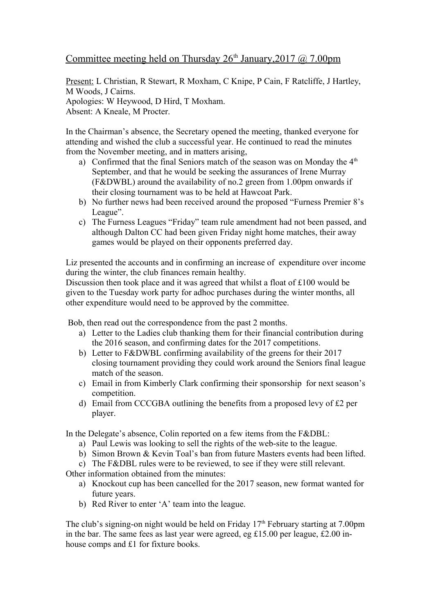## Committee meeting held on Thursday  $26<sup>th</sup>$  January, 2017 @ 7.00pm

Present: L Christian, R Stewart, R Moxham, C Knipe, P Cain, F Ratcliffe, J Hartley, M Woods, J Cairns. Apologies: W Heywood, D Hird, T Moxham.

Absent: A Kneale, M Procter.

In the Chairman's absence, the Secretary opened the meeting, thanked everyone for attending and wished the club a successful year. He continued to read the minutes from the November meeting, and in matters arising,

- a) Confirmed that the final Seniors match of the season was on Monday the  $4<sup>th</sup>$ September, and that he would be seeking the assurances of Irene Murray (F&DWBL) around the availability of no.2 green from 1.00pm onwards if their closing tournament was to be held at Hawcoat Park.
- b) No further news had been received around the proposed "Furness Premier 8's League".
- c) The Furness Leagues "Friday" team rule amendment had not been passed, and although Dalton CC had been given Friday night home matches, their away games would be played on their opponents preferred day.

Liz presented the accounts and in confirming an increase of expenditure over income during the winter, the club finances remain healthy.

Discussion then took place and it was agreed that whilst a float of £100 would be given to the Tuesday work party for adhoc purchases during the winter months, all other expenditure would need to be approved by the committee.

Bob, then read out the correspondence from the past 2 months.

- a) Letter to the Ladies club thanking them for their financial contribution during the 2016 season, and confirming dates for the 2017 competitions.
- b) Letter to F&DWBL confirming availability of the greens for their 2017 closing tournament providing they could work around the Seniors final league match of the season.
- c) Email in from Kimberly Clark confirming their sponsorship for next season's competition.
- d) Email from CCCGBA outlining the benefits from a proposed levy of £2 per player.

In the Delegate's absence, Colin reported on a few items from the F&DBL:

- a) Paul Lewis was looking to sell the rights of the web-site to the league.
- b) Simon Brown & Kevin Toal's ban from future Masters events had been lifted.

c) The F&DBL rules were to be reviewed, to see if they were still relevant.

Other information obtained from the minutes:

- a) Knockout cup has been cancelled for the 2017 season, new format wanted for future years.
- b) Red River to enter 'A' team into the league.

The club's signing-on night would be held on Friday  $17<sup>th</sup>$  February starting at 7.00pm in the bar. The same fees as last year were agreed, eg £15.00 per league, £2.00 inhouse comps and £1 for fixture books.